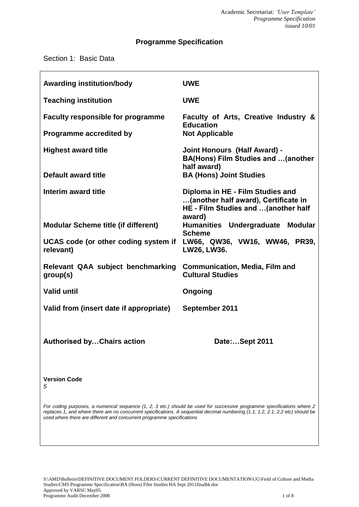# **Programme Specification**

Section 1: Basic Data

| <b>Awarding institution/body</b>                  | <b>UWE</b>                                                                                                       |
|---------------------------------------------------|------------------------------------------------------------------------------------------------------------------|
| <b>Teaching institution</b>                       | <b>UWE</b>                                                                                                       |
| <b>Faculty responsible for programme</b>          | Faculty of Arts, Creative Industry &<br><b>Education</b>                                                         |
| Programme accredited by                           | <b>Not Applicable</b>                                                                                            |
| <b>Highest award title</b>                        | <b>Joint Honours (Half Award) -</b><br><b>BA(Hons) Film Studies and  (another</b><br>half award)                 |
| Default award title                               | <b>BA (Hons) Joint Studies</b>                                                                                   |
| Interim award title                               | Diploma in HE - Film Studies and<br>(another half award), Certificate in<br>HE - Film Studies and  (another half |
| <b>Modular Scheme title (if different)</b>        | award)<br>Humanities Undergraduate Modular<br><b>Scheme</b>                                                      |
| UCAS code (or other coding system if<br>relevant) | LW66, QW36, VW16, WW46, PR39,<br>LW26, LW36.                                                                     |
| Relevant QAA subject benchmarking<br>group(s)     | <b>Communication, Media, Film and</b><br><b>Cultural Studies</b>                                                 |
| <b>Valid until</b>                                | Ongoing                                                                                                          |
| Valid from (insert date if appropriate)           | September 2011                                                                                                   |
| <b>Authorised byChairs action</b>                 | Date:Sept 2011                                                                                                   |
| <b>Version Code</b><br>5                          |                                                                                                                  |

*For coding purposes, a numerical sequence (1, 2, 3 etc.) should be used for successive programme specifications where 2 replaces 1, and where there are no concurrent specifications. A sequential decimal numbering (1.1; 1.2, 2.1; 2.2 etc) should be used where there are different and concurrent programme specifications*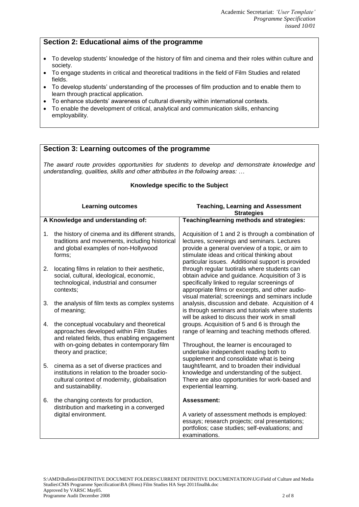## **Section 2: Educational aims of the programme**

- To develop students' knowledge of the history of film and cinema and their roles within culture and society.
- To engage students in critical and theoretical traditions in the field of Film Studies and related fields.
- To develop students' understanding of the processes of film production and to enable them to learn through practical application.
- To enhance students' awareness of cultural diversity within international contexts.
- To enable the development of critical, analytical and communication skills, enhancing employability.

### **Section 3: Learning outcomes of the programme**

*The award route provides opportunities for students to develop and demonstrate knowledge and understanding, qualities, skills and other attributes in the following areas: …*

### **Knowledge specific to the Subject**

| <b>Learning outcomes</b>          |                                                                                                                                                                                                             | <b>Teaching, Learning and Assessment</b><br><b>Strategies</b>                                                                                                                                                                                             |  |
|-----------------------------------|-------------------------------------------------------------------------------------------------------------------------------------------------------------------------------------------------------------|-----------------------------------------------------------------------------------------------------------------------------------------------------------------------------------------------------------------------------------------------------------|--|
| A Knowledge and understanding of: |                                                                                                                                                                                                             | Teaching/learning methods and strategies:                                                                                                                                                                                                                 |  |
| 1.                                | the history of cinema and its different strands,<br>traditions and movements, including historical<br>and global examples of non-Hollywood<br>forms;                                                        | Acquisition of 1 and 2 is through a combination of<br>lectures, screenings and seminars. Lectures<br>provide a general overview of a topic, or aim to<br>stimulate ideas and critical thinking about<br>particular issues. Additional support is provided |  |
| 2.                                | locating films in relation to their aesthetic,<br>social, cultural, ideological, economic,<br>technological, industrial and consumer<br>contexts;                                                           | through regular tuotirals where students can<br>obtain advice and guidance. Acquisition of 3 is<br>specifically linked to regular screenings of<br>appropriate films or excerpts, and other audio-<br>visual material; screenings and seminars include    |  |
| 3.                                | the analysis of film texts as complex systems<br>of meaning;                                                                                                                                                | analysis, discussion and debate. Acquisition of 4<br>is through seminars and tutorials where students<br>will be asked to discuss their work in small                                                                                                     |  |
| 4.                                | the conceptual vocabulary and theoretical<br>approaches developed within Film Studies<br>and related fields, thus enabling engagement<br>with on-going debates in contemporary film<br>theory and practice; | groups. Acquisition of 5 and 6 is through the<br>range of learning and teaching methods offered.<br>Throughout, the learner is encouraged to<br>undertake independent reading both to<br>supplement and consolidate what is being                         |  |
| 5.                                | cinema as a set of diverse practices and<br>institutions in relation to the broader socio-<br>cultural context of modernity, globalisation<br>and sustainability.                                           | taught/learnt, and to broaden their individual<br>knowledge and understanding of the subject.<br>There are also opportunities for work-based and<br>experiential learning.                                                                                |  |
| 6.                                | the changing contexts for production,<br>distribution and marketing in a converged<br>digital environment.                                                                                                  | <b>Assessment:</b><br>A variety of assessment methods is employed:<br>essays; research projects; oral presentations;<br>portfolios; case studies; self-evaluations; and<br>examinations.                                                                  |  |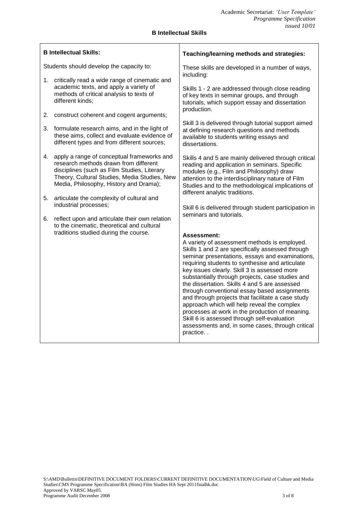#### **B Intellectual Skills**

| <b>B Intellectual Skills:</b>            |                                                                                                                                                                                                                              | Teaching/learning methods and strategies:                                                                                                                                                                                                                                                                                                                                                                                                                                                                                                                                                                                                                                                        |  |
|------------------------------------------|------------------------------------------------------------------------------------------------------------------------------------------------------------------------------------------------------------------------------|--------------------------------------------------------------------------------------------------------------------------------------------------------------------------------------------------------------------------------------------------------------------------------------------------------------------------------------------------------------------------------------------------------------------------------------------------------------------------------------------------------------------------------------------------------------------------------------------------------------------------------------------------------------------------------------------------|--|
| Students should develop the capacity to: |                                                                                                                                                                                                                              | These skills are developed in a number of ways,<br>including:                                                                                                                                                                                                                                                                                                                                                                                                                                                                                                                                                                                                                                    |  |
| 1.                                       | critically read a wide range of cinematic and<br>academic texts, and apply a variety of<br>methods of critical analysis to texts of<br>different kinds;                                                                      | Skills 1 - 2 are addressed through close reading<br>of key texts in seminar groups, and through<br>tutorials, which support essay and dissertation<br>production.                                                                                                                                                                                                                                                                                                                                                                                                                                                                                                                                |  |
|                                          | 2. construct coherent and cogent arguments;                                                                                                                                                                                  |                                                                                                                                                                                                                                                                                                                                                                                                                                                                                                                                                                                                                                                                                                  |  |
|                                          | 3. formulate research aims, and in the light of<br>these aims, collect and evaluate evidence of<br>different types and from different sources;                                                                               | Skill 3 is delivered through tutorial support aimed<br>at defining research questions and methods<br>available to students writing essays and<br>dissertations.                                                                                                                                                                                                                                                                                                                                                                                                                                                                                                                                  |  |
| 4.                                       | apply a range of conceptual frameworks and<br>research methods drawn from different<br>disciplines (such as Film Studies, Literary<br>Theory, Cultural Studies, Media Studies, New<br>Media, Philosophy, History and Drama); | Skills 4 and 5 are mainly delivered through critical<br>reading and application in seminars. Specific<br>modules (e.g., Film and Philosophy) draw<br>attention to the interdisciplinary nature of Film<br>Studies and to the methodological implications of<br>different analytic traditions.                                                                                                                                                                                                                                                                                                                                                                                                    |  |
| 5.                                       | articulate the complexity of cultural and<br>industrial processes;                                                                                                                                                           | Skill 6 is delivered through student participation in                                                                                                                                                                                                                                                                                                                                                                                                                                                                                                                                                                                                                                            |  |
|                                          | 6. reflect upon and articulate their own relation<br>to the cinematic, theoretical and cultural                                                                                                                              | seminars and tutorials.                                                                                                                                                                                                                                                                                                                                                                                                                                                                                                                                                                                                                                                                          |  |
|                                          | traditions studied during the course.                                                                                                                                                                                        | Assessment:<br>A variety of assessment methods is employed.<br>Skills 1 and 2 are specifically assessed through<br>seminar presentations, essays and examinations,<br>requiring students to synthesise and articulate<br>key issues clearly. Skill 3 is assessed more<br>substantially through projects, case studies and<br>the dissertation. Skills 4 and 5 are assessed<br>through conventional essay based assignments<br>and through projects that facilitate a case study<br>approach which will help reveal the complex<br>processes at work in the production of meaning.<br>Skill 6 is assessed through self-evaluation<br>assessments and, in some cases, through critical<br>practice |  |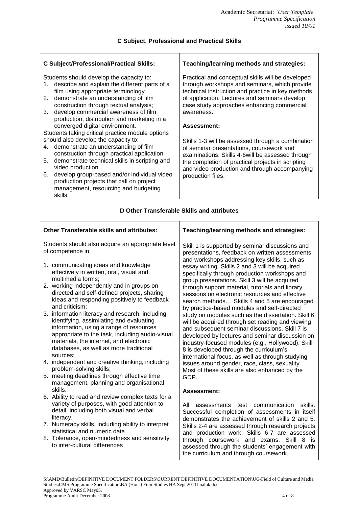| <b>C Subject/Professional/Practical Skills:</b>                                                                                                                                                                                | Teaching/learning methods and strategies:                                                                                                                                                                                                              |  |
|--------------------------------------------------------------------------------------------------------------------------------------------------------------------------------------------------------------------------------|--------------------------------------------------------------------------------------------------------------------------------------------------------------------------------------------------------------------------------------------------------|--|
| Students should develop the capacity to:<br>describe and explain the different parts of a<br>1.<br>film using appropriate terminology.<br>demonstrate an understanding of film<br>2.<br>construction through textual analysis; | Practical and conceptual skills will be developed<br>through workshops and seminars, which provide<br>technical instruction and practice in key methods<br>of application. Lectures and seminars develop<br>case study approaches enhancing commercial |  |
| develop commercial awareness of film<br>3.<br>production, distribution and marketing in a<br>converged digital environment.                                                                                                    | awareness.<br>Assessment:                                                                                                                                                                                                                              |  |
| Students taking critical practice module options                                                                                                                                                                               |                                                                                                                                                                                                                                                        |  |
| should also develop the capacity to:                                                                                                                                                                                           | Skills 1-3 will be assessed through a combination                                                                                                                                                                                                      |  |
| demonstrate an understanding of film<br>4.<br>construction through practical application                                                                                                                                       | of seminar presentations, coursework and<br>examinations. Skills 4-6 will be assessed through                                                                                                                                                          |  |
| demonstrate technical skills in scripting and<br>5.<br>video production                                                                                                                                                        | the completion of practical projects in scripting<br>and video production and through accompanying                                                                                                                                                     |  |
| develop group-based and/or individual video<br>6.<br>production projects that call on project<br>management, resourcing and budgeting                                                                                          | production files.                                                                                                                                                                                                                                      |  |
| skills.                                                                                                                                                                                                                        |                                                                                                                                                                                                                                                        |  |

#### **D Other Transferable Skills and attributes**

| <b>Other Transferable skills and attributes:</b>                                                                                                                                                                                                                               | Teaching/learning methods and strategies:                                                                                                                                                                                                                                                                                                                  |  |
|--------------------------------------------------------------------------------------------------------------------------------------------------------------------------------------------------------------------------------------------------------------------------------|------------------------------------------------------------------------------------------------------------------------------------------------------------------------------------------------------------------------------------------------------------------------------------------------------------------------------------------------------------|--|
| Students should also acquire an appropriate level<br>of competence in:                                                                                                                                                                                                         | Skill 1 is supported by seminar discussions and<br>presentations, feedback on written assessments<br>and workshops addressing key skills, such as                                                                                                                                                                                                          |  |
| 1. communicating ideas and knowledge<br>effectively in written, oral, visual and<br>multimedia forms;                                                                                                                                                                          | essay writing. Skills 2 and 3 will be acquired<br>specifically through production workshops and<br>group presentations. Skill 3 will be acquired                                                                                                                                                                                                           |  |
| 2. working independently and in groups on<br>directed and self-defined projects, sharing<br>ideas and responding positively to feedback<br>and criticism:                                                                                                                      | through support material, tutorials and library<br>sessions on electronic resources and effective<br>search methods Skills 4 and 5 are encouraged                                                                                                                                                                                                          |  |
| 3. information literacy and research, including<br>identifying, assimilating and evaluating<br>information, using a range of resources<br>appropriate to the task, including audio-visual<br>materials, the internet, and electronic<br>databases, as well as more traditional | by practice-based modules and self-directed<br>study on modules such as the dissertation. Skill 6<br>will be acquired through set reading and viewing<br>and subsequent seminar discussions. Skill 7 is<br>developed by lectures and seminar discussion on<br>industry-focused modules (e.g., Hollywood). Skill<br>8 is developed through the curriculum's |  |
| sources:<br>4. independent and creative thinking, including<br>problem-solving skills;                                                                                                                                                                                         | international focus, as well as through studying<br>issues around gender, race, class, sexuality.                                                                                                                                                                                                                                                          |  |
| 5. meeting deadlines through effective time<br>management, planning and organisational                                                                                                                                                                                         | Most of these skills are also enhanced by the<br>GDP.                                                                                                                                                                                                                                                                                                      |  |
| skills.<br>6. Ability to read and review complex texts for a<br>variety of purposes, with good attention to<br>detail, including both visual and verbal<br>literacy.                                                                                                           | Assessment:<br>skills.<br>All<br>assessments<br>test communication<br>Successful completion of assessments in itself<br>demonstrates the achievement of skills 2 and 5.                                                                                                                                                                                    |  |
| 7. Numeracy skills, including ability to interpret<br>statistical and numeric data.                                                                                                                                                                                            | Skills 2-4 are assessed through research projects<br>and production work. Skills 6-7 are assessed                                                                                                                                                                                                                                                          |  |
| 8. Tolerance, open-mindedness and sensitivity<br>to inter-cultural differences                                                                                                                                                                                                 | through coursework and exams. Skill 8 is<br>assessed through the students' engagement with<br>the curriculum and through coursework.                                                                                                                                                                                                                       |  |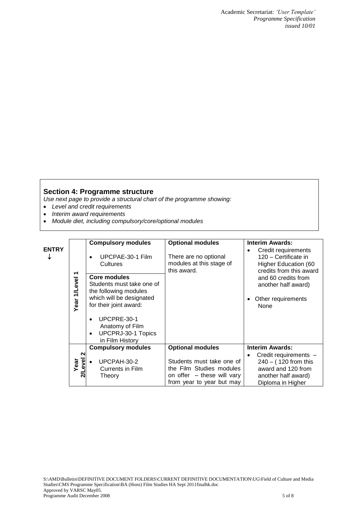Academic Secretariat: *'User Template' Programme Specification issued 10/01*

### **Section 4: Programme structure**

*Use next page to provide a structural chart of the programme showing:*

- *Level and credit requirements*
- *Interim award requirements*
- *Module diet, including compulsory/core/optional modules*

| <b>ENTRY</b> | ᠇<br>Year 1/Level      | <b>Compulsory modules</b><br>UPCPAE-30-1 Film<br>Cultures<br><b>Core modules</b><br>Students must take one of<br>the following modules<br>which will be designated<br>for their joint award:<br>UPCPRE-30-1<br>٠<br>Anatomy of Film<br>UPCPRJ-30-1 Topics<br>$\bullet$<br>in Film History | <b>Optional modules</b><br>There are no optional<br>modules at this stage of<br>this award.                                                 | <b>Interim Awards:</b><br>Credit requirements<br>120 - Certificate in<br>Higher Education (60<br>credits from this award<br>and 60 credits from<br>another half award)<br>Other requirements<br>None |
|--------------|------------------------|-------------------------------------------------------------------------------------------------------------------------------------------------------------------------------------------------------------------------------------------------------------------------------------------|---------------------------------------------------------------------------------------------------------------------------------------------|------------------------------------------------------------------------------------------------------------------------------------------------------------------------------------------------------|
|              | N<br>yel<br>Year<br>ລັ | <b>Compulsory modules</b><br>UPCPAH-30-2<br>Currents in Film<br>Theory                                                                                                                                                                                                                    | <b>Optional modules</b><br>Students must take one of<br>the Film Studies modules<br>on offer - these will vary<br>from year to year but may | <b>Interim Awards:</b><br>Credit requirements -<br>$240 - (120$ from this<br>award and 120 from<br>another half award)<br>Diploma in Higher                                                          |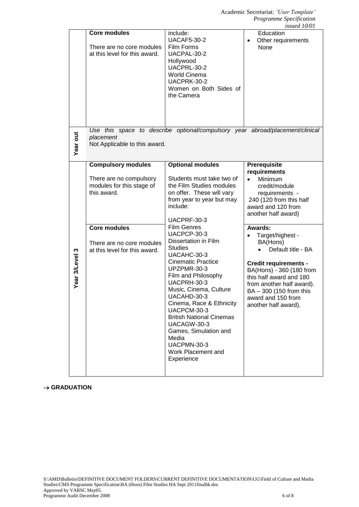|                |                                                                                                                                                                                       |                                                                                                                                                                                                                                                                                                                                                                                                                                                                                                                                                                                  | <i>LONCU TOTOT</i>                                                                                                                                                                                                                                                                                                                                                                                                            |
|----------------|---------------------------------------------------------------------------------------------------------------------------------------------------------------------------------------|----------------------------------------------------------------------------------------------------------------------------------------------------------------------------------------------------------------------------------------------------------------------------------------------------------------------------------------------------------------------------------------------------------------------------------------------------------------------------------------------------------------------------------------------------------------------------------|-------------------------------------------------------------------------------------------------------------------------------------------------------------------------------------------------------------------------------------------------------------------------------------------------------------------------------------------------------------------------------------------------------------------------------|
|                | <b>Core modules</b><br>There are no core modules<br>at this level for this award.                                                                                                     | include:<br><b>UACAF5-30-2</b><br>Film Forms<br>UACPAL-30-2<br>Hollywood<br>UACPRL-30-2<br>World Cinema<br>UACPRK-30-2<br>Women on Both Sides of<br>the Camera                                                                                                                                                                                                                                                                                                                                                                                                                   | Education<br>Other requirements<br>$\bullet$<br>None                                                                                                                                                                                                                                                                                                                                                                          |
| Year out       | placement<br>Not Applicable to this award.                                                                                                                                            | Use this space to describe optional/compulsory year abroad/placement/clinical                                                                                                                                                                                                                                                                                                                                                                                                                                                                                                    |                                                                                                                                                                                                                                                                                                                                                                                                                               |
| Year 3/Level 3 | <b>Compulsory modules</b><br>There are no compulsory<br>modules for this stage of<br>this award.<br><b>Core modules</b><br>There are no core modules<br>at this level for this award. | <b>Optional modules</b><br>Students must take two of<br>the Film Studies modules<br>on offer. These will vary<br>from year to year but may<br>include:<br>UACPRF-30-3<br><b>Film Genres</b><br>UACPCP-30-3<br>Dissertation in Film<br><b>Studies</b><br>UACAHC-30-3<br><b>Cinematic Practice</b><br>UPZPMR-30-3<br>Film and Philosophy<br>UACPRH-30-3<br>Music, Cinema, Culture<br>UACAHD-30-3<br>Cinema, Race & Ethnicity<br>UACPCM-30-3<br><b>British National Cinemas</b><br>UACAGW-30-3<br>Games, Simulation and<br>Media<br>UACPMN-30-3<br>Work Placement and<br>Experience | Prerequisite<br>requirements<br>Minimum<br>credit/module<br>requirements -<br>240 (120 from this half<br>award and 120 from<br>another half award)<br>Awards:<br>Target/highest -<br>$\bullet$<br>BA(Hons)<br>Default title - BA<br><b>Credit requirements -</b><br>BA(Hons) - 360 (180 from<br>this half award and 180<br>from another half award).<br>BA - 300 (150 from this<br>award and 150 from<br>another half award). |

#### $\rightarrow$  GRADUATION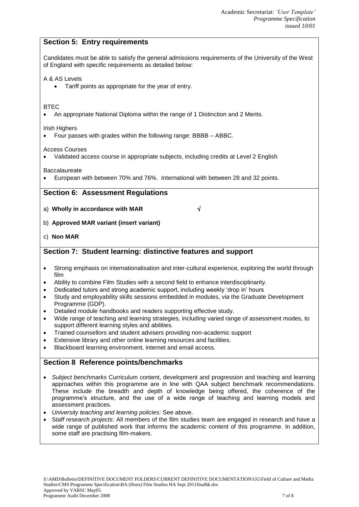## **Section 5: Entry requirements**

Candidates must be able to satisfy the general admissions requirements of the University of the West of England with specific requirements as detailed below:

#### A & AS Levels

Tariff points as appropriate for the year of entry.

#### **BTEC**

An appropriate National Diploma within the range of 1 Distinction and 2 Merits.

Irish Highers

Four passes with grades within the following range: BBBB – ABBC.

Access Courses

Validated access course in appropriate subjects, including credits at Level 2 English

Baccalaureate

European with between 70% and 76%. International with between 28 and 32 points.

#### **Section 6: Assessment Regulations**

- a) **Wholly in accordance with MAR**
- b) **Approved MAR variant (insert variant)**
- c) **Non MAR**

## **Section 7: Student learning: distinctive features and support**

- Strong emphasis on internationalisation and inter-cultural experience, exploring the world through film
- Ability to combine Film Studies with a second field to enhance interdisciplinarity.
- Dedicated tutors and strong academic support, including weekly 'drop in' hours
- Study and employability skills sessions embedded in modules, via the Graduate Development Programme (GDP).
- Detailed module handbooks and readers supporting effective study.
- Wide range of teaching and learning strategies, including varied range of assessment modes, to support different learning styles and abilities.
- Trained counsellors and student advisers providing non-academic support
- Extensive library and other online learning resources and facilities.
- Blackboard learning environment, internet and email access.

## **Section 8 Reference points/benchmarks**

- *Subject benchmarks* Curriculum content, development and progression and teaching and learning approaches within this programme are in line with QAA subject benchmark recommendations. These include the breadth and depth of knowledge being offered, the coherence of the programme's structure, and the use of a wide range of teaching and learning models and assessment practices.
- *University teaching and learning policies:* See above.
- S*taff research projects:* All members of the film studies team are engaged in research and have a wide range of published work that informs the academic content of this programme. In addition, some staff are practising film-makers.